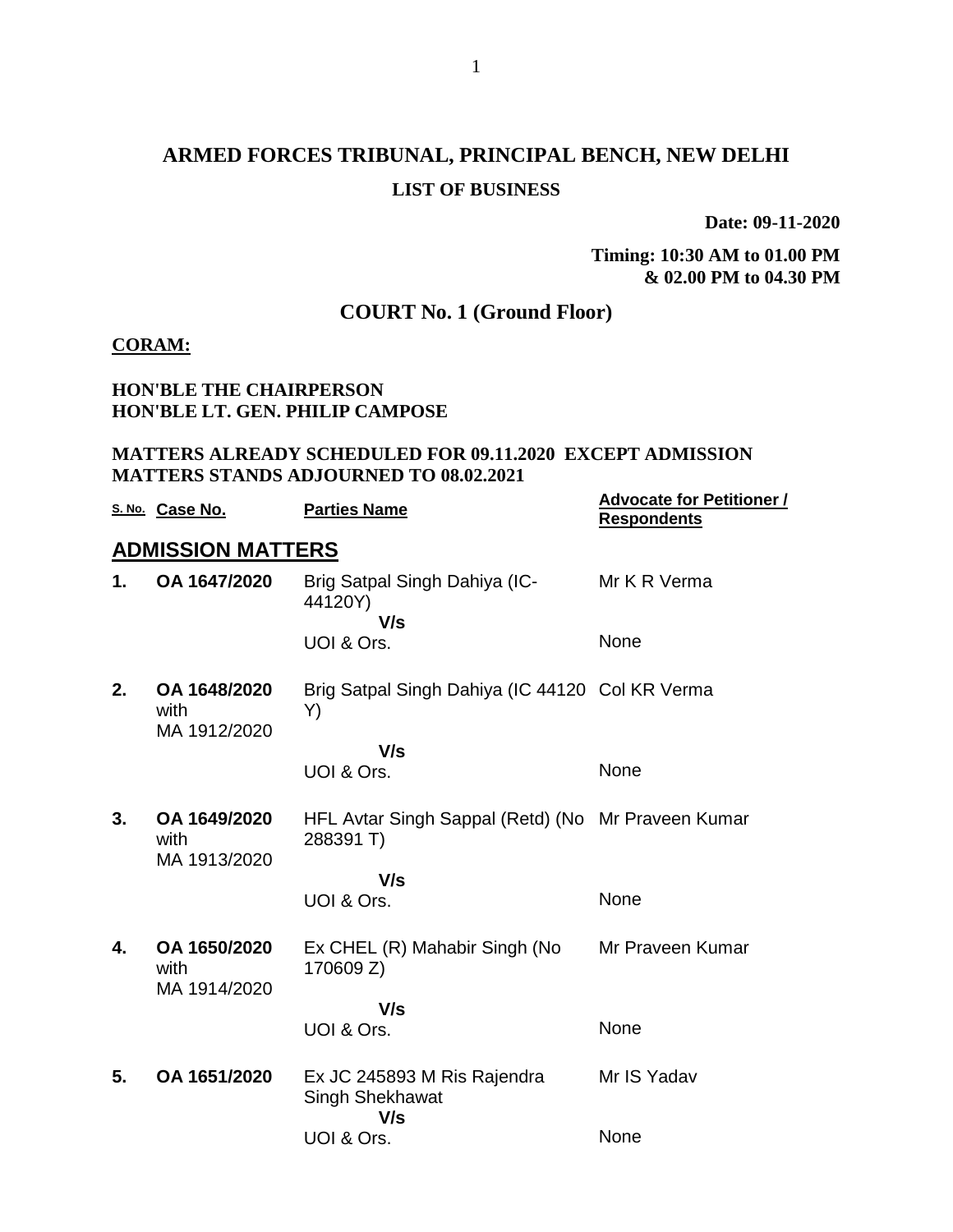# **ARMED FORCES TRIBUNAL, PRINCIPAL BENCH, NEW DELHI LIST OF BUSINESS**

**Date: 09-11-2020**

**Timing: 10:30 AM to 01.00 PM & 02.00 PM to 04.30 PM**

## **COURT No. 1 (Ground Floor)**

#### **CORAM:**

### **HON'BLE THE CHAIRPERSON HON'BLE LT. GEN. PHILIP CAMPOSE**

#### **MATTERS ALREADY SCHEDULED FOR 09.11.2020 EXCEPT ADMISSION MATTERS STANDS ADJOURNED TO 08.02.2021**

|                          | S. No. Case No.                      | <b>Parties Name</b>                                             | <b>Advocate for Petitioner /</b><br><b>Respondents</b> |  |  |  |  |
|--------------------------|--------------------------------------|-----------------------------------------------------------------|--------------------------------------------------------|--|--|--|--|
| <b>ADMISSION MATTERS</b> |                                      |                                                                 |                                                        |  |  |  |  |
| 1.                       | OA 1647/2020                         | Brig Satpal Singh Dahiya (IC-<br>44120Y)<br>V/s                 | Mr K R Verma                                           |  |  |  |  |
|                          |                                      | UOI & Ors.                                                      | <b>None</b>                                            |  |  |  |  |
| 2.                       | OA 1648/2020<br>with<br>MA 1912/2020 | Brig Satpal Singh Dahiya (IC 44120 Col KR Verma<br>Y)           |                                                        |  |  |  |  |
|                          |                                      | V/s                                                             |                                                        |  |  |  |  |
|                          |                                      | UOI & Ors.                                                      | None                                                   |  |  |  |  |
| 3.                       | OA 1649/2020<br>with<br>MA 1913/2020 | HFL Avtar Singh Sappal (Retd) (No Mr Praveen Kumar<br>288391 T) |                                                        |  |  |  |  |
|                          |                                      | V/s                                                             |                                                        |  |  |  |  |
|                          |                                      | UOI & Ors.                                                      | None                                                   |  |  |  |  |
| 4.                       | OA 1650/2020<br>with<br>MA 1914/2020 | Ex CHEL (R) Mahabir Singh (No<br>170609 Z)                      | Mr Praveen Kumar                                       |  |  |  |  |
|                          |                                      | V/s                                                             |                                                        |  |  |  |  |
|                          |                                      | UOI & Ors.                                                      | None                                                   |  |  |  |  |
| 5.                       | OA 1651/2020                         | Ex JC 245893 M Ris Rajendra<br>Singh Shekhawat<br>V/s           | Mr IS Yadav                                            |  |  |  |  |
|                          |                                      | UOI & Ors.                                                      | None                                                   |  |  |  |  |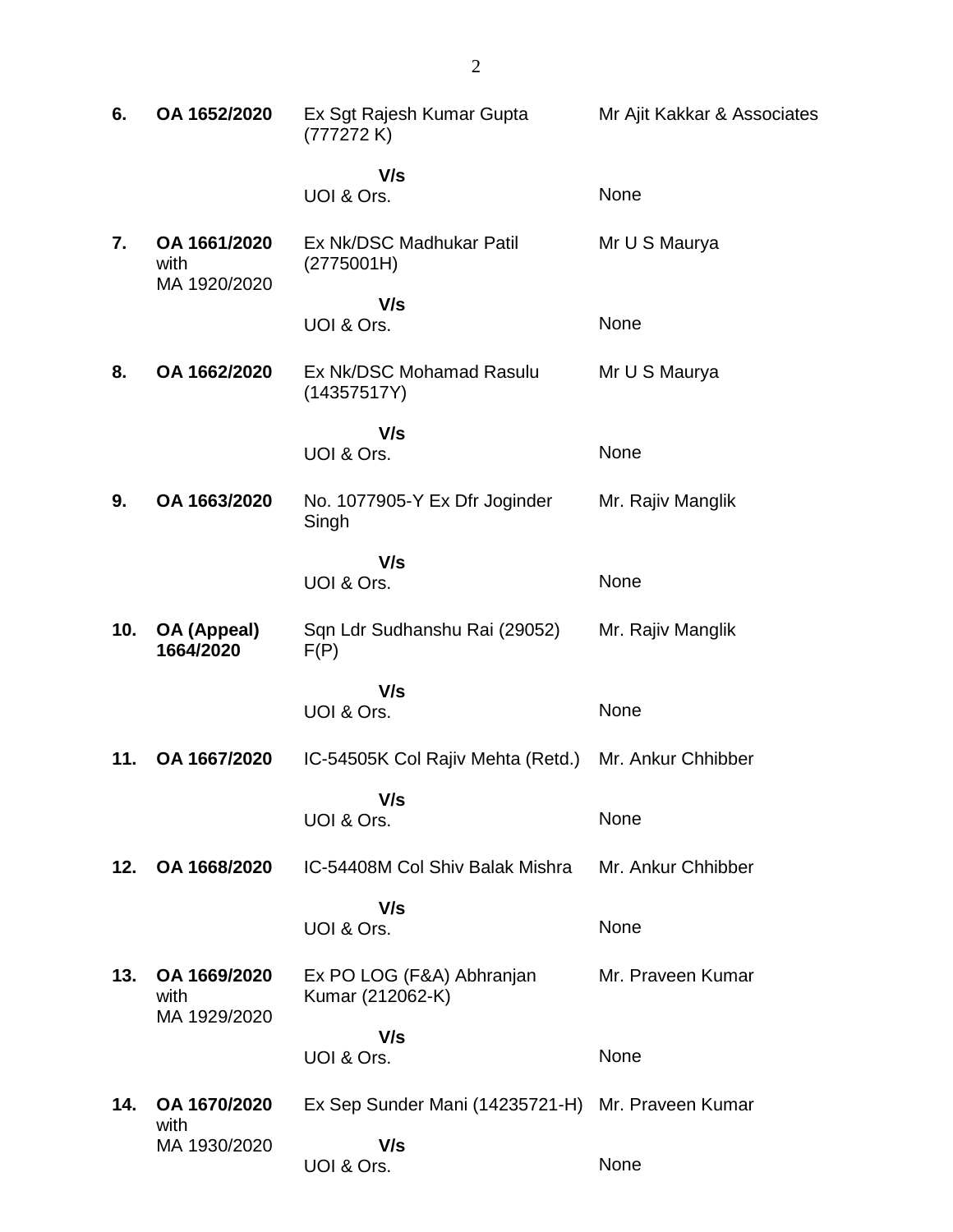| 6.  | OA 1652/2020                         | Ex Sgt Rajesh Kumar Gupta<br>(777272K)            | Mr Ajit Kakkar & Associates |
|-----|--------------------------------------|---------------------------------------------------|-----------------------------|
|     |                                      | V/s<br>UOI & Ors.                                 | None                        |
| 7.  | OA 1661/2020<br>with<br>MA 1920/2020 | Ex Nk/DSC Madhukar Patil<br>(2775001H)            | Mr U S Maurya               |
|     |                                      | V/s<br>UOI & Ors.                                 | None                        |
| 8.  | OA 1662/2020                         | Ex Nk/DSC Mohamad Rasulu<br>(14357517Y)           | Mr U S Maurya               |
|     |                                      | V/s<br>UOI & Ors.                                 | None                        |
| 9.  | OA 1663/2020                         | No. 1077905-Y Ex Dfr Joginder<br>Singh            | Mr. Rajiv Manglik           |
|     |                                      | V/s<br>UOI & Ors.                                 | None                        |
| 10. | OA (Appeal)<br>1664/2020             | Sqn Ldr Sudhanshu Rai (29052)<br>F(P)             | Mr. Rajiv Manglik           |
|     |                                      | V/s<br>UOI & Ors.                                 | None                        |
| 11. | OA 1667/2020                         | IC-54505K Col Rajiv Mehta (Retd.)                 | Mr. Ankur Chhibber          |
|     |                                      | V/s<br>UOI & Ors.                                 | None                        |
| 12. | OA 1668/2020                         | IC-54408M Col Shiv Balak Mishra                   | Mr. Ankur Chhibber          |
|     |                                      | V/s<br>UOI & Ors.                                 | None                        |
| 13. | OA 1669/2020<br>with<br>MA 1929/2020 | Ex PO LOG (F&A) Abhranjan<br>Kumar (212062-K)     | Mr. Praveen Kumar           |
|     |                                      | V/s                                               |                             |
|     |                                      | UOI & Ors.                                        | None                        |
| 14. | OA 1670/2020<br>with                 | Ex Sep Sunder Mani (14235721-H) Mr. Praveen Kumar |                             |
|     | MA 1930/2020                         | V/s<br>UOI & Ors.                                 | None                        |